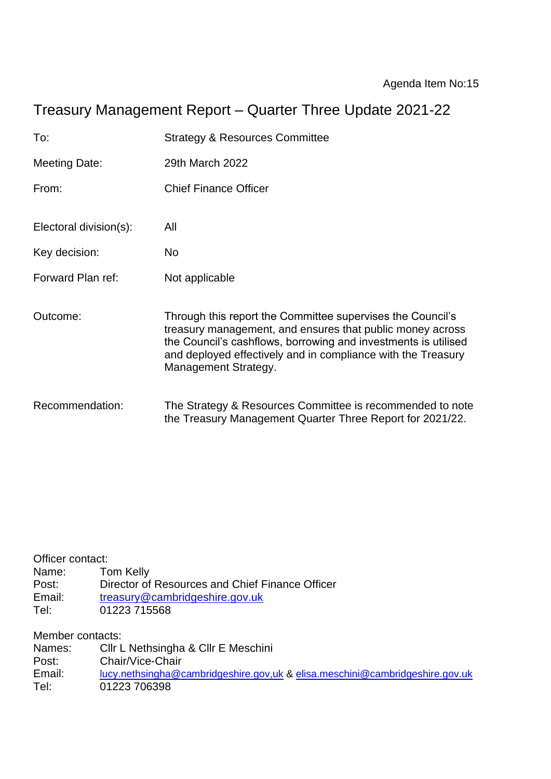# Treasury Management Report – Quarter Three Update 2021-22

| To:                    | <b>Strategy &amp; Resources Committee</b>                                                                                                                                                                                                                                         |
|------------------------|-----------------------------------------------------------------------------------------------------------------------------------------------------------------------------------------------------------------------------------------------------------------------------------|
| Meeting Date:          | 29th March 2022                                                                                                                                                                                                                                                                   |
| From:                  | <b>Chief Finance Officer</b>                                                                                                                                                                                                                                                      |
| Electoral division(s): | All                                                                                                                                                                                                                                                                               |
| Key decision:          | No                                                                                                                                                                                                                                                                                |
| Forward Plan ref:      | Not applicable                                                                                                                                                                                                                                                                    |
| Outcome:               | Through this report the Committee supervises the Council's<br>treasury management, and ensures that public money across<br>the Council's cashflows, borrowing and investments is utilised<br>and deployed effectively and in compliance with the Treasury<br>Management Strategy. |
| Recommendation:        | The Strategy & Resources Committee is recommended to note<br>the Treasury Management Quarter Three Report for 2021/22.                                                                                                                                                            |

Officer contact:<br>Name: Tom Kelly Name:<br>Post: Post: Director of Resources and Chief Finance Officer<br>Email: treasury@cambridgeshire.gov.uk Email: [treasury@cambridgeshire.gov.uk](mailto:treasury@cambridgeshire.gov.uk)<br>Tel: 01223 715568 01223 715568

Member contacts:

| Names: | CIIr L Nethsingha & CIIr E Meschini                                          |
|--------|------------------------------------------------------------------------------|
| Post:  | Chair/Vice-Chair                                                             |
| Email: | lucy.nethsingha@cambridgeshire.gov.uk & elisa.meschini@cambridgeshire.gov.uk |
| Tel:   | 01223 706398                                                                 |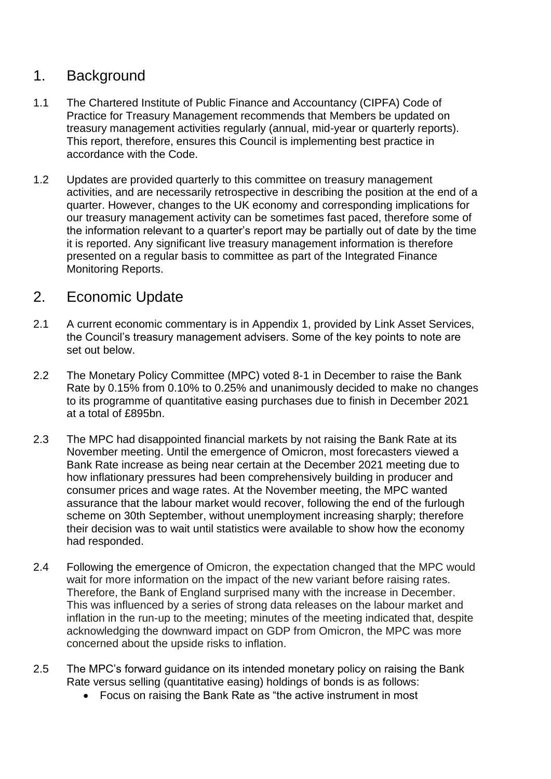### 1. Background

- 1.1 The Chartered Institute of Public Finance and Accountancy (CIPFA) Code of Practice for Treasury Management recommends that Members be updated on treasury management activities regularly (annual, mid-year or quarterly reports). This report, therefore, ensures this Council is implementing best practice in accordance with the Code.
- 1.2 Updates are provided quarterly to this committee on treasury management activities, and are necessarily retrospective in describing the position at the end of a quarter. However, changes to the UK economy and corresponding implications for our treasury management activity can be sometimes fast paced, therefore some of the information relevant to a quarter's report may be partially out of date by the time it is reported. Any significant live treasury management information is therefore presented on a regular basis to committee as part of the Integrated Finance Monitoring Reports.

### 2. Economic Update

- 2.1 A current economic commentary is in Appendix 1, provided by Link Asset Services, the Council's treasury management advisers. Some of the key points to note are set out below.
- 2.2 The Monetary Policy Committee (MPC) voted 8-1 in December to raise the Bank Rate by 0.15% from 0.10% to 0.25% and unanimously decided to make no changes to its programme of quantitative easing purchases due to finish in December 2021 at a total of £895bn.
- 2.3 The MPC had disappointed financial markets by not raising the Bank Rate at its November meeting. Until the emergence of Omicron, most forecasters viewed a Bank Rate increase as being near certain at the December 2021 meeting due to how inflationary pressures had been comprehensively building in producer and consumer prices and wage rates. At the November meeting, the MPC wanted assurance that the labour market would recover, following the end of the furlough scheme on 30th September, without unemployment increasing sharply; therefore their decision was to wait until statistics were available to show how the economy had responded.
- 2.4 Following the emergence of Omicron, the expectation changed that the MPC would wait for more information on the impact of the new variant before raising rates. Therefore, the Bank of England surprised many with the increase in December. This was influenced by a series of strong data releases on the labour market and inflation in the run-up to the meeting; minutes of the meeting indicated that, despite acknowledging the downward impact on GDP from Omicron, the MPC was more concerned about the upside risks to inflation.
- 2.5 The MPC's forward guidance on its intended monetary policy on raising the Bank Rate versus selling (quantitative easing) holdings of bonds is as follows:
	- Focus on raising the Bank Rate as "the active instrument in most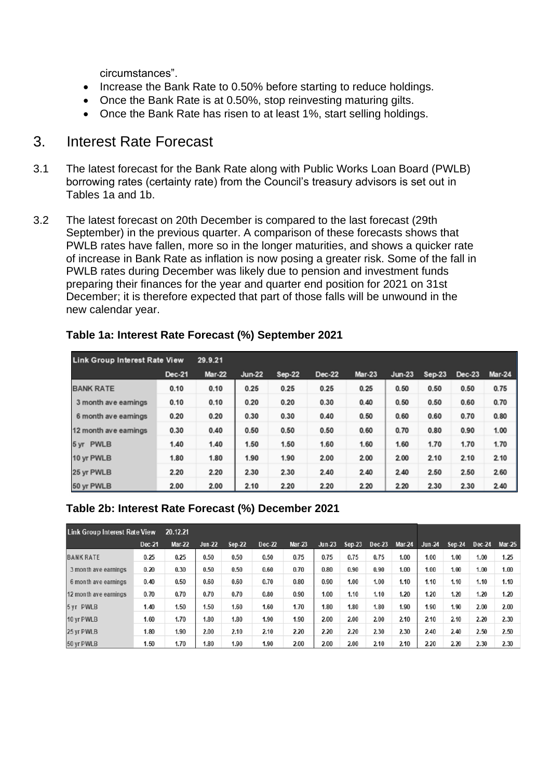circumstances".

- Increase the Bank Rate to 0.50% before starting to reduce holdings.
- Once the Bank Rate is at 0.50%, stop reinvesting maturing gilts.
- Once the Bank Rate has risen to at least 1%, start selling holdings.

### 3. Interest Rate Forecast

- 3.1 The latest forecast for the Bank Rate along with Public Works Loan Board (PWLB) borrowing rates (certainty rate) from the Council's treasury advisors is set out in Tables 1a and 1b.
- 3.2 The latest forecast on 20th December is compared to the last forecast (29th September) in the previous quarter. A comparison of these forecasts shows that PWLB rates have fallen, more so in the longer maturities, and shows a quicker rate of increase in Bank Rate as inflation is now posing a greater risk. Some of the fall in PWLB rates during December was likely due to pension and investment funds preparing their finances for the year and quarter end position for 2021 on 31st December; it is therefore expected that part of those falls will be unwound in the new calendar year.

| <b>Link Group Interest Rate View</b> |               | 29.9.21       |               |        |        |               |          |          |               |               |
|--------------------------------------|---------------|---------------|---------------|--------|--------|---------------|----------|----------|---------------|---------------|
|                                      | <b>Dec-21</b> | <b>Mar-22</b> | <b>Jun-22</b> | Sep-22 | Dec-22 | <b>Mar-23</b> | $Jun-23$ | $Sep-23$ | <b>Dec-23</b> | <b>Mar-24</b> |
| <b>BANK RATE</b>                     | 0.10          | 0.10          | 0.25          | 0.25   | 0.25   | 0.25          | 0.50     | 0.50     | 0.50          | 0.75          |
| 3 month ave earnings                 | 0.10          | 0.10          | 0.20          | 0.20   | 0.30   | 0.40          | 0.50     | 0.50     | 0.60          | 0.70          |
| 6 month ave earnings                 | 0.20          | 0.20          | 0.30          | 0.30   | 0.40   | 0.50          | 0.60     | 0.60     | 0.70          | 0.80          |
| 12 month ave earnings                | 0.30          | 0.40          | 0.50          | 0.50   | 0.50   | 0.60          | 0.70     | 0.80     | 0.90          | 1.00          |
| 5 yr PWLB                            | 1.40          | 1.40          | 1.50          | 1.50   | 1.60   | 1.60          | 1.60     | 1.70     | 1.70          | 1.70          |
| 10 yr PWLB                           | 1.80          | 1.80          | 1.90          | 1.90   | 2.00   | 2.00          | 2.00     | 2.10     | 2.10          | 2.10          |
| 25 yr PWLB                           | 2.20          | 2.20          | 2.30          | 2.30   | 2.40   | 2.40          | 2.40     | 2.50     | 2.50          | 2.60          |
| 50 yr PWLB                           | 2.00          | 2.00          | 2.10          | 2.20   | 2.20   | 2.20          | 2.20     | 2.30     | 2.30          | 2.40          |

#### **Table 1a: Interest Rate Forecast (%) September 2021**

#### **Table 2b: Interest Rate Forecast (%) December 2021**

| <b>Link Group Interest Rate View</b><br>20.12.21 |        |               |               |               |        |               |          |               |        |               |               |               |        |               |
|--------------------------------------------------|--------|---------------|---------------|---------------|--------|---------------|----------|---------------|--------|---------------|---------------|---------------|--------|---------------|
|                                                  | Dec-21 | <b>Mar-22</b> | <b>Jun-22</b> | <b>Sep-22</b> | Dec-22 | <b>Mar-23</b> | $Jun-23$ | <b>Sep-23</b> | Dec-23 | <b>Mar-24</b> | <b>Jun-24</b> | <b>Sep-24</b> | Dec-24 | <b>Mar-25</b> |
| <b>BANK RATE</b>                                 | 0.25   | 0.25          | 0.50          | 0.50          | 0.50   | 0.75          | 0.75     | 0.75          | 0.75   | 1.00          | 1.00          | 1.00          | 1.00   | 1.25          |
| 3 month ave earnings                             | 0.20   | 0.30          | 0.50          | 0.50          | 0.60   | 0.70          | 0.80     | 0.90          | 0.90   | 1.00          | 1.00          | 1.00          | 1.00   | 1.00          |
| 6 month ave earnings                             | 0.40   | 0.50          | 0.60          | 0.60          | 0.70   | 0.80          | 0.90     | 1.00          | 1.00   | 1.10          | 1.10          | 1.10          | 1.10   | 1.10          |
| 12 month ave earnings                            | 0.70   | 0.70          | 0.70          | 0.70          | 0.80   | 0.90          | 1.00     | 1.10          | 1.10   | 1.20          | 1.20          | 1.20          | 1.20   | 1.20          |
| 5 yr PWLB                                        | 1.40   | 1.50          | 1.50          | 1.60          | 1.60   | 1.70          | 1.80     | 1.80          | 1.80   | 1.90          | 1.90          | 1.90          | 2.00   | 2.00          |
| 10 yr PWLB                                       | 1.60   | 1.70          | 1.80          | 1.80          | 1.90   | 1.90          | 2.00     | 2.00          | 2.00   | 2.10          | 2.10          | 2.10          | 2.20   | 2.30          |
| 25 vr PWLB                                       | 1.80   | 1.90          | 2.00          | 2.10          | 2.10   | 2.20          | 2.20     | 2.20          | 2.30   | 2.30          | 2.40          | 2.40          | 2.50   | 2.50          |
| 50 yr PWLB                                       | 1.50   | 1.70          | 1.80          | 1.90          | 1.90   | 2.00          | 2.00     | 2.00          | 2.10   | 2.10          | 2.20          | 2.20          | 2.30   | 2.30          |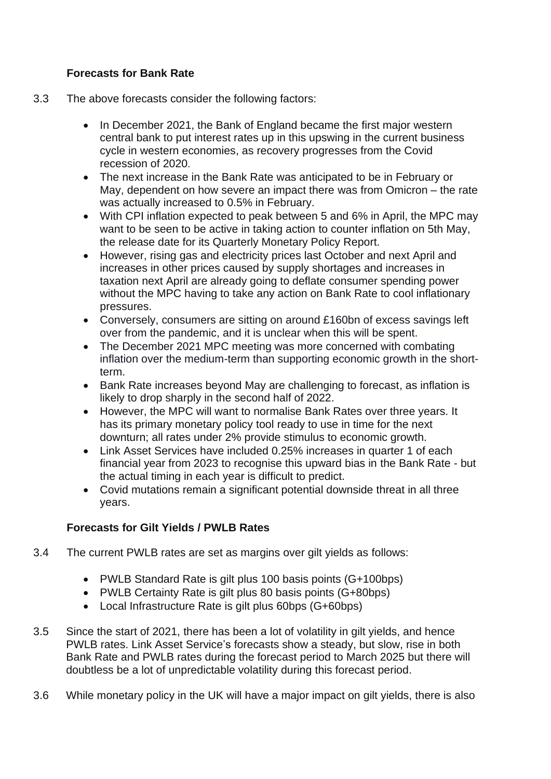#### **Forecasts for Bank Rate**

- 3.3 The above forecasts consider the following factors:
	- In December 2021, the Bank of England became the first major western central bank to put interest rates up in this upswing in the current business cycle in western economies, as recovery progresses from the Covid recession of 2020.
	- The next increase in the Bank Rate was anticipated to be in February or May, dependent on how severe an impact there was from Omicron – the rate was actually increased to 0.5% in February.
	- With CPI inflation expected to peak between 5 and 6% in April, the MPC may want to be seen to be active in taking action to counter inflation on 5th May, the release date for its Quarterly Monetary Policy Report.
	- However, rising gas and electricity prices last October and next April and increases in other prices caused by supply shortages and increases in taxation next April are already going to deflate consumer spending power without the MPC having to take any action on Bank Rate to cool inflationary pressures.
	- Conversely, consumers are sitting on around £160bn of excess savings left over from the pandemic, and it is unclear when this will be spent.
	- The December 2021 MPC meeting was more concerned with combating inflation over the medium-term than supporting economic growth in the shortterm.
	- Bank Rate increases beyond May are challenging to forecast, as inflation is likely to drop sharply in the second half of 2022.
	- However, the MPC will want to normalise Bank Rates over three years. It has its primary monetary policy tool ready to use in time for the next downturn; all rates under 2% provide stimulus to economic growth.
	- Link Asset Services have included 0.25% increases in quarter 1 of each financial year from 2023 to recognise this upward bias in the Bank Rate - but the actual timing in each year is difficult to predict.
	- Covid mutations remain a significant potential downside threat in all three years.

#### **Forecasts for Gilt Yields / PWLB Rates**

- 3.4 The current PWLB rates are set as margins over gilt yields as follows:
	- PWLB Standard Rate is gilt plus 100 basis points (G+100bps)
	- PWLB Certainty Rate is gilt plus 80 basis points (G+80bps)
	- Local Infrastructure Rate is gilt plus 60bps (G+60bps)
- 3.5 Since the start of 2021, there has been a lot of volatility in gilt yields, and hence PWLB rates. Link Asset Service's forecasts show a steady, but slow, rise in both Bank Rate and PWLB rates during the forecast period to March 2025 but there will doubtless be a lot of unpredictable volatility during this forecast period.
- 3.6 While monetary policy in the UK will have a major impact on gilt yields, there is also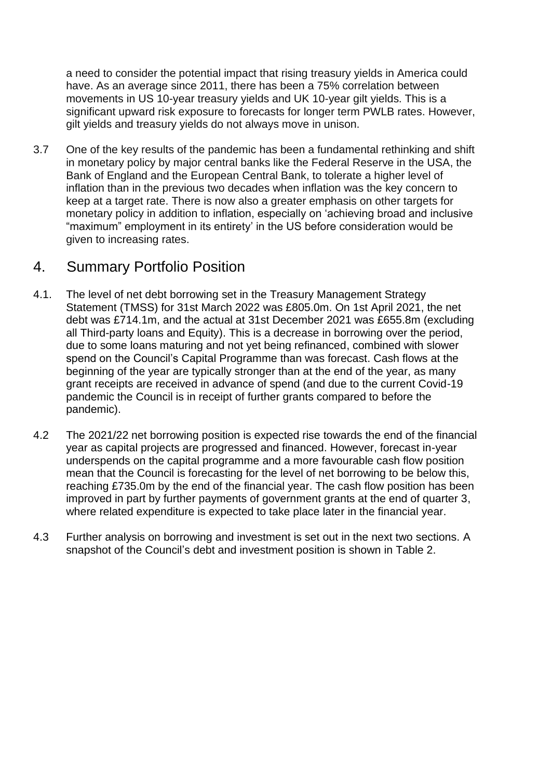a need to consider the potential impact that rising treasury yields in America could have. As an average since 2011, there has been a 75% correlation between movements in US 10-year treasury yields and UK 10-year gilt yields. This is a significant upward risk exposure to forecasts for longer term PWLB rates. However, gilt yields and treasury yields do not always move in unison.

3.7 One of the key results of the pandemic has been a fundamental rethinking and shift in monetary policy by major central banks like the Federal Reserve in the USA, the Bank of England and the European Central Bank, to tolerate a higher level of inflation than in the previous two decades when inflation was the key concern to keep at a target rate. There is now also a greater emphasis on other targets for monetary policy in addition to inflation, especially on 'achieving broad and inclusive "maximum" employment in its entirety' in the US before consideration would be given to increasing rates.

### 4. Summary Portfolio Position

- 4.1. The level of net debt borrowing set in the Treasury Management Strategy Statement (TMSS) for 31st March 2022 was £805.0m. On 1st April 2021, the net debt was £714.1m, and the actual at 31st December 2021 was £655.8m (excluding all Third-party loans and Equity). This is a decrease in borrowing over the period, due to some loans maturing and not yet being refinanced, combined with slower spend on the Council's Capital Programme than was forecast. Cash flows at the beginning of the year are typically stronger than at the end of the year, as many grant receipts are received in advance of spend (and due to the current Covid-19 pandemic the Council is in receipt of further grants compared to before the pandemic).
- 4.2 The 2021/22 net borrowing position is expected rise towards the end of the financial year as capital projects are progressed and financed. However, forecast in-year underspends on the capital programme and a more favourable cash flow position mean that the Council is forecasting for the level of net borrowing to be below this, reaching £735.0m by the end of the financial year. The cash flow position has been improved in part by further payments of government grants at the end of quarter 3, where related expenditure is expected to take place later in the financial year.
- 4.3 Further analysis on borrowing and investment is set out in the next two sections. A snapshot of the Council's debt and investment position is shown in Table 2.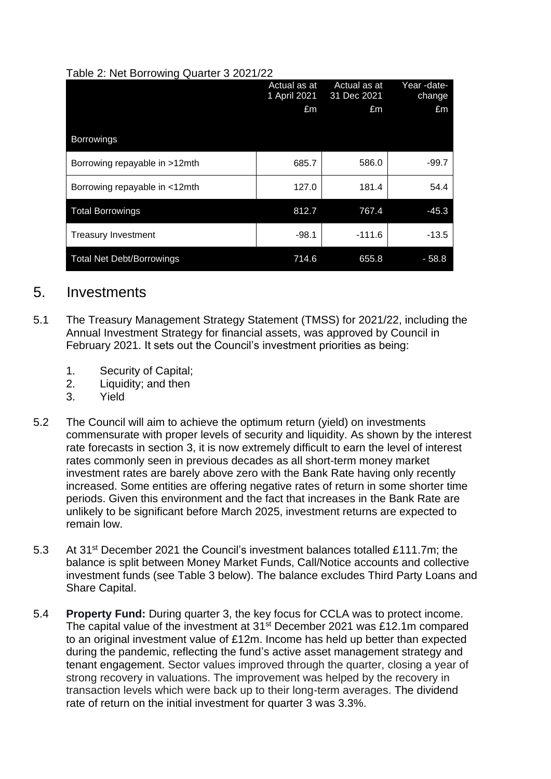#### Table 2: Net Borrowing Quarter 3 2021/22

| ັ                                | Actual as at<br>1 April 2021 | Actual as at<br>31 Dec 2021 | Year-date-<br>change |
|----------------------------------|------------------------------|-----------------------------|----------------------|
|                                  | £m                           | £m                          | £m                   |
| <b>Borrowings</b>                |                              |                             |                      |
| Borrowing repayable in >12mth    | 685.7                        | 586.0                       | $-99.7$              |
| Borrowing repayable in <12mth    | 127.0                        | 181.4                       | 54.4                 |
| <b>Total Borrowings</b>          | 812.7                        | 767.4                       | $-45.3$              |
| <b>Treasury Investment</b>       | $-98.1$                      | $-111.6$                    | $-13.5$              |
| <b>Total Net Debt/Borrowings</b> | 714.6                        | 655.8                       | $-58.8$              |

### 5. Investments

- 5.1 The Treasury Management Strategy Statement (TMSS) for 2021/22, including the Annual Investment Strategy for financial assets, was approved by Council in February 2021. It sets out the Council's investment priorities as being:
	- 1. Security of Capital;
	- 2. Liquidity: and then
	- 3. Yield
- 5.2 The Council will aim to achieve the optimum return (yield) on investments commensurate with proper levels of security and liquidity. As shown by the interest rate forecasts in section 3, it is now extremely difficult to earn the level of interest rates commonly seen in previous decades as all short-term money market investment rates are barely above zero with the Bank Rate having only recently increased. Some entities are offering negative rates of return in some shorter time periods. Given this environment and the fact that increases in the Bank Rate are unlikely to be significant before March 2025, investment returns are expected to remain low.
- 5.3 At 31<sup>st</sup> December 2021 the Council's investment balances totalled £111.7m; the balance is split between Money Market Funds, Call/Notice accounts and collective investment funds (see Table 3 below). The balance excludes Third Party Loans and Share Capital.
- 5.4 **Property Fund:** During quarter 3, the key focus for CCLA was to protect income. The capital value of the investment at  $31<sup>st</sup>$  December 2021 was £12.1m compared to an original investment value of £12m. Income has held up better than expected during the pandemic, reflecting the fund's active asset management strategy and tenant engagement. Sector values improved through the quarter, closing a year of strong recovery in valuations. The improvement was helped by the recovery in transaction levels which were back up to their long-term averages. The dividend rate of return on the initial investment for quarter 3 was 3.3%.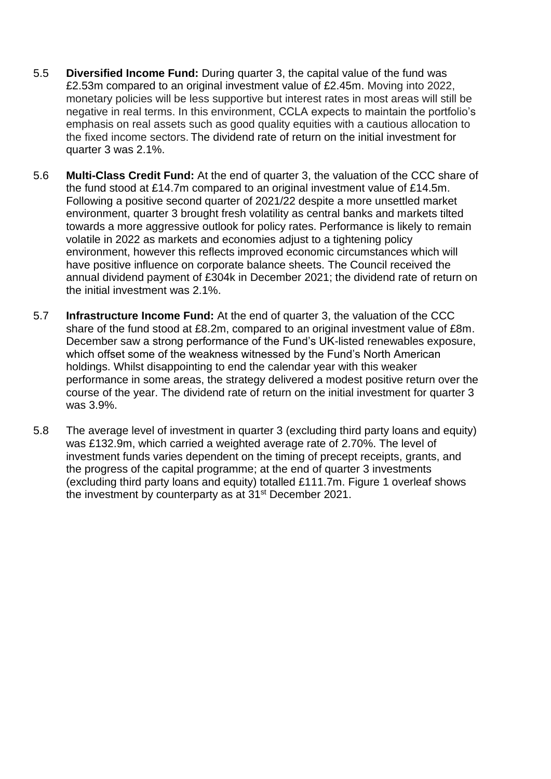- 5.5 **Diversified Income Fund:** During quarter 3, the capital value of the fund was £2.53m compared to an original investment value of £2.45m. Moving into 2022, monetary policies will be less supportive but interest rates in most areas will still be negative in real terms. In this environment, CCLA expects to maintain the portfolio's emphasis on real assets such as good quality equities with a cautious allocation to the fixed income sectors. The dividend rate of return on the initial investment for quarter 3 was 2.1%.
- 5.6 **Multi-Class Credit Fund:** At the end of quarter 3, the valuation of the CCC share of the fund stood at £14.7m compared to an original investment value of £14.5m. Following a positive second quarter of 2021/22 despite a more unsettled market environment, quarter 3 brought fresh volatility as central banks and markets tilted towards a more aggressive outlook for policy rates. Performance is likely to remain volatile in 2022 as markets and economies adjust to a tightening policy environment, however this reflects improved economic circumstances which will have positive influence on corporate balance sheets. The Council received the annual dividend payment of £304k in December 2021; the dividend rate of return on the initial investment was 2.1%.
- 5.7 **Infrastructure Income Fund:** At the end of quarter 3, the valuation of the CCC share of the fund stood at £8.2m, compared to an original investment value of £8m. December saw a strong performance of the Fund's UK-listed renewables exposure, which offset some of the weakness witnessed by the Fund's North American holdings. Whilst disappointing to end the calendar year with this weaker performance in some areas, the strategy delivered a modest positive return over the course of the year. The dividend rate of return on the initial investment for quarter 3 was 3.9%.
- 5.8 The average level of investment in quarter 3 (excluding third party loans and equity) was £132.9m, which carried a weighted average rate of 2.70%. The level of investment funds varies dependent on the timing of precept receipts, grants, and the progress of the capital programme; at the end of quarter 3 investments (excluding third party loans and equity) totalled £111.7m. Figure 1 overleaf shows the investment by counterparty as at 31<sup>st</sup> December 2021.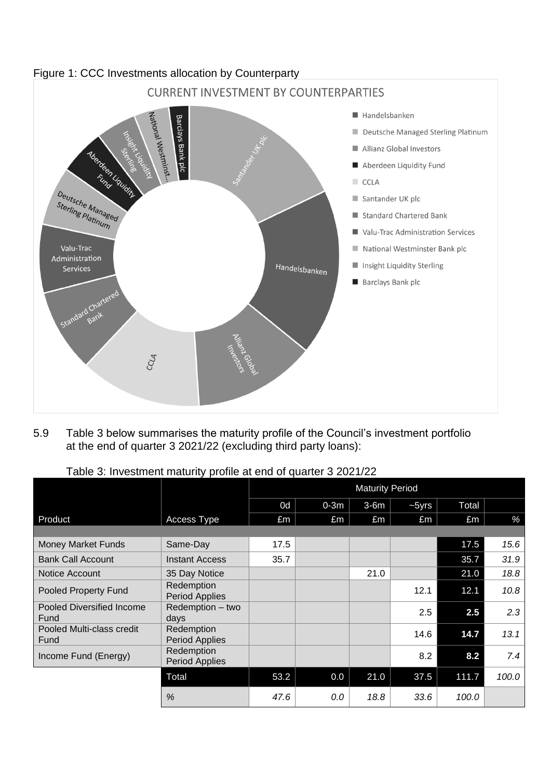

5.9 Table 3 below summarises the maturity profile of the Council's investment portfolio at the end of quarter 3 2021/22 (excluding third party loans):

| Table 3: Investment maturity profile at end of quarter 3 2021/22 |  |  |  |  |
|------------------------------------------------------------------|--|--|--|--|
|                                                                  |  |  |  |  |

|                                          |                                     | <b>Maturity Period</b> |        |        |         |       |       |
|------------------------------------------|-------------------------------------|------------------------|--------|--------|---------|-------|-------|
|                                          |                                     | 0d                     | $0-3m$ | $3-6m$ | $-5yrs$ | Total |       |
| Product                                  | Access Type                         | £m                     | £m     | £m     | £m      | £m    | %     |
|                                          |                                     |                        |        |        |         |       |       |
| Money Market Funds                       | Same-Day                            | 17.5                   |        |        |         | 17.5  | 15.6  |
| <b>Bank Call Account</b>                 | <b>Instant Access</b>               | 35.7                   |        |        |         | 35.7  | 31.9  |
| Notice Account                           | 35 Day Notice                       |                        |        | 21.0   |         | 21.0  | 18.8  |
| Pooled Property Fund                     | Redemption<br><b>Period Applies</b> |                        |        |        | 12.1    | 12.1  | 10.8  |
| <b>Pooled Diversified Income</b><br>Fund | Redemption - two<br>days            |                        |        |        | 2.5     | 2.5   | 2.3   |
| Pooled Multi-class credit<br>Fund        | Redemption<br><b>Period Applies</b> |                        |        |        | 14.6    | 14.7  | 13.1  |
| Income Fund (Energy)                     | Redemption<br><b>Period Applies</b> |                        |        |        | 8.2     | 8.2   | 7.4   |
|                                          | Total                               | 53.2                   | 0.0    | 21.0   | 37.5    | 111.7 | 100.0 |
|                                          | %                                   | 47.6                   | 0.0    | 18.8   | 33.6    | 100.0 |       |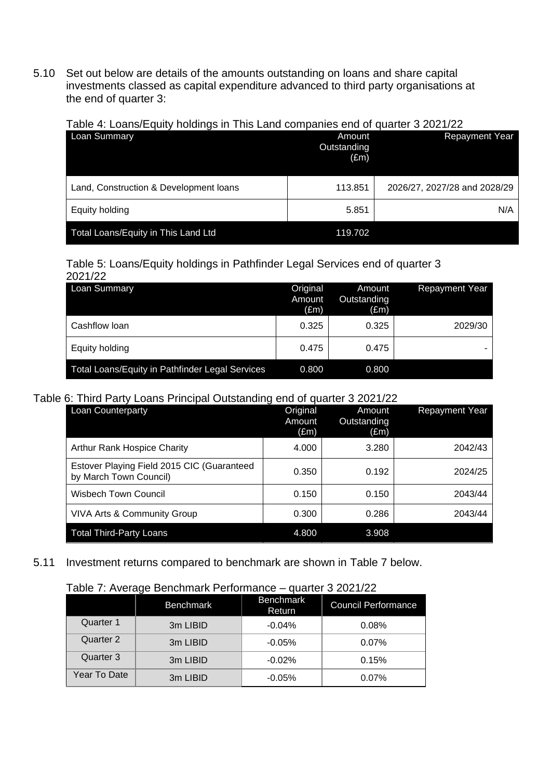5.10 Set out below are details of the amounts outstanding on loans and share capital investments classed as capital expenditure advanced to third party organisations at the end of quarter 3:

Table 4: Loans/Equity holdings in This Land companies end of quarter 3 2021/22

| <b>Loan Summary</b>                    | Amount<br>Outstanding<br>$(\text{Em})$ | <b>Repayment Year</b>        |
|----------------------------------------|----------------------------------------|------------------------------|
| Land, Construction & Development loans | 113.851                                | 2026/27, 2027/28 and 2028/29 |
| Equity holding                         | 5.851                                  | N/A                          |
| Total Loans/Equity in This Land Ltd    | 119.702                                |                              |

#### Table 5: Loans/Equity holdings in Pathfinder Legal Services end of quarter 3  $2021/22$

| 2021/ <i>22</i>                                        |                                     |                                        |                       |
|--------------------------------------------------------|-------------------------------------|----------------------------------------|-----------------------|
| Loan Summary                                           | Original<br>Amount<br>$(\text{Em})$ | Amount<br>Outstanding<br>$(\text{Em})$ | <b>Repayment Year</b> |
| Cashflow loan                                          | 0.325                               | 0.325                                  | 2029/30               |
| Equity holding                                         | 0.475                               | 0.475                                  |                       |
| <b>Total Loans/Equity in Pathfinder Legal Services</b> | 0.800                               | 0.800                                  |                       |

#### Table 6: Third Party Loans Principal Outstanding end of quarter 3 2021/22

| Loan Counterparty                                                    | Original<br>Amount<br>$(\text{Em})$ | Amount<br>Outstanding<br>(£m) | <b>Repayment Year</b> |
|----------------------------------------------------------------------|-------------------------------------|-------------------------------|-----------------------|
| <b>Arthur Rank Hospice Charity</b>                                   | 4.000                               | 3.280                         | 2042/43               |
| Estover Playing Field 2015 CIC (Guaranteed<br>by March Town Council) | 0.350                               | 0.192                         | 2024/25               |
| <b>Wisbech Town Council</b>                                          | 0.150                               | 0.150                         | 2043/44               |
| VIVA Arts & Community Group                                          | 0.300                               | 0.286                         | 2043/44               |
| <b>Total Third-Party Loans</b>                                       | 4.800                               | 3.908                         |                       |

#### 5.11 Investment returns compared to benchmark are shown in Table 7 below.

#### Table 7: Average Benchmark Performance – quarter 3 2021/22

|              | <b>Benchmark</b> | <b>Benchmark</b><br>Return | <b>Council Performance</b> |
|--------------|------------------|----------------------------|----------------------------|
| Quarter 1    | 3m LIBID         | $-0.04%$                   | 0.08%                      |
| Quarter 2    | 3m LIBID         | $-0.05%$                   | 0.07%                      |
| Quarter 3    | 3m LIBID         | $-0.02%$                   | 0.15%                      |
| Year To Date | 3m LIBID         | $-0.05%$                   | 0.07%                      |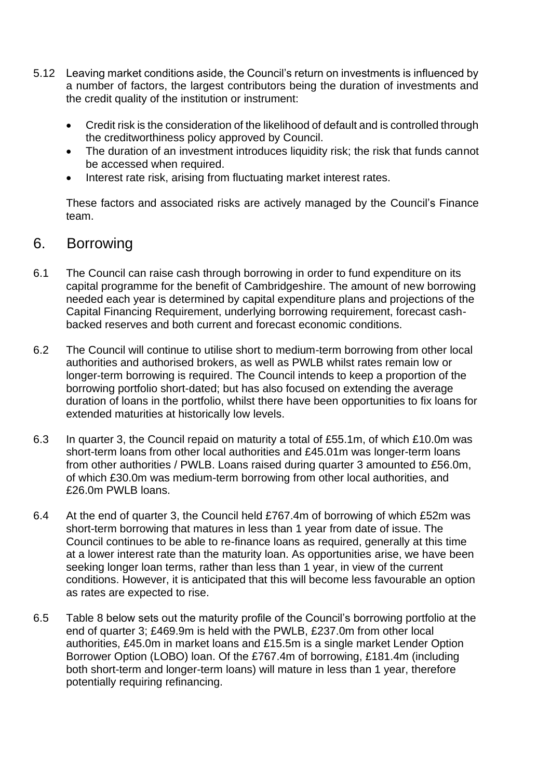- 5.12 Leaving market conditions aside, the Council's return on investments is influenced by a number of factors, the largest contributors being the duration of investments and the credit quality of the institution or instrument:
	- Credit risk is the consideration of the likelihood of default and is controlled through the creditworthiness policy approved by Council.
	- The duration of an investment introduces liquidity risk; the risk that funds cannot be accessed when required.
	- Interest rate risk, arising from fluctuating market interest rates.

These factors and associated risks are actively managed by the Council's Finance team.

### 6. Borrowing

- 6.1 The Council can raise cash through borrowing in order to fund expenditure on its capital programme for the benefit of Cambridgeshire. The amount of new borrowing needed each year is determined by capital expenditure plans and projections of the Capital Financing Requirement, underlying borrowing requirement, forecast cashbacked reserves and both current and forecast economic conditions.
- 6.2 The Council will continue to utilise short to medium-term borrowing from other local authorities and authorised brokers, as well as PWLB whilst rates remain low or longer-term borrowing is required. The Council intends to keep a proportion of the borrowing portfolio short-dated; but has also focused on extending the average duration of loans in the portfolio, whilst there have been opportunities to fix loans for extended maturities at historically low levels.
- 6.3 In quarter 3, the Council repaid on maturity a total of £55.1m, of which £10.0m was short-term loans from other local authorities and £45.01m was longer-term loans from other authorities / PWLB. Loans raised during quarter 3 amounted to £56.0m, of which £30.0m was medium-term borrowing from other local authorities, and £26.0m PWLB loans.
- 6.4 At the end of quarter 3, the Council held £767.4m of borrowing of which £52m was short-term borrowing that matures in less than 1 year from date of issue. The Council continues to be able to re-finance loans as required, generally at this time at a lower interest rate than the maturity loan. As opportunities arise, we have been seeking longer loan terms, rather than less than 1 year, in view of the current conditions. However, it is anticipated that this will become less favourable an option as rates are expected to rise.
- 6.5 Table 8 below sets out the maturity profile of the Council's borrowing portfolio at the end of quarter 3; £469.9m is held with the PWLB, £237.0m from other local authorities, £45.0m in market loans and £15.5m is a single market Lender Option Borrower Option (LOBO) loan. Of the £767.4m of borrowing, £181.4m (including both short-term and longer-term loans) will mature in less than 1 year, therefore potentially requiring refinancing.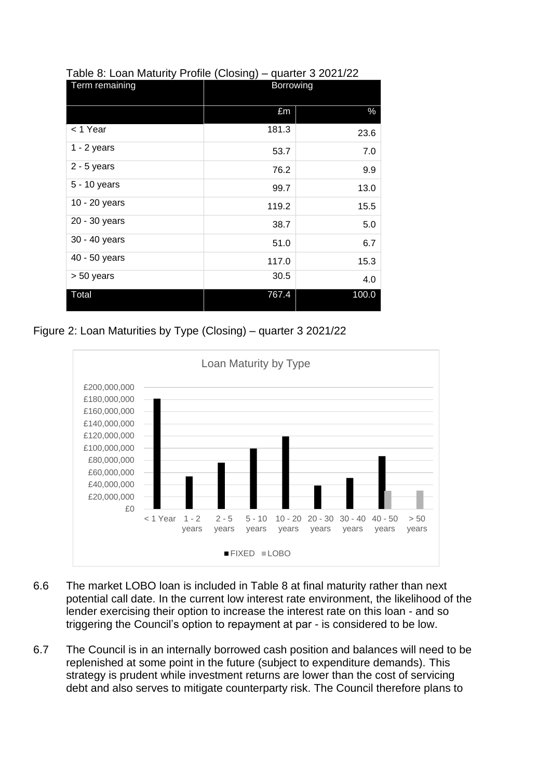| Term remaining | Borrowing |       |  |  |
|----------------|-----------|-------|--|--|
|                | £m        | $\%$  |  |  |
| < 1 Year       | 181.3     | 23.6  |  |  |
| $1 - 2$ years  | 53.7      | 7.0   |  |  |
| $2 - 5$ years  | 76.2      | 9.9   |  |  |
| 5 - 10 years   | 99.7      | 13.0  |  |  |
| 10 - 20 years  | 119.2     | 15.5  |  |  |
| 20 - 30 years  | 38.7      | 5.0   |  |  |
| 30 - 40 years  | 51.0      | 6.7   |  |  |
| 40 - 50 years  | 117.0     | 15.3  |  |  |
| > 50 years     | 30.5      | 4.0   |  |  |
| Total          | 767.4     | 100.0 |  |  |

#### Table 8: Loan Maturity Profile (Closing) – quarter 3 2021/22

Figure 2: Loan Maturities by Type (Closing) – quarter 3 2021/22



- 6.6 The market LOBO loan is included in Table 8 at final maturity rather than next potential call date. In the current low interest rate environment, the likelihood of the lender exercising their option to increase the interest rate on this loan - and so triggering the Council's option to repayment at par - is considered to be low.
- 6.7 The Council is in an internally borrowed cash position and balances will need to be replenished at some point in the future (subject to expenditure demands). This strategy is prudent while investment returns are lower than the cost of servicing debt and also serves to mitigate counterparty risk. The Council therefore plans to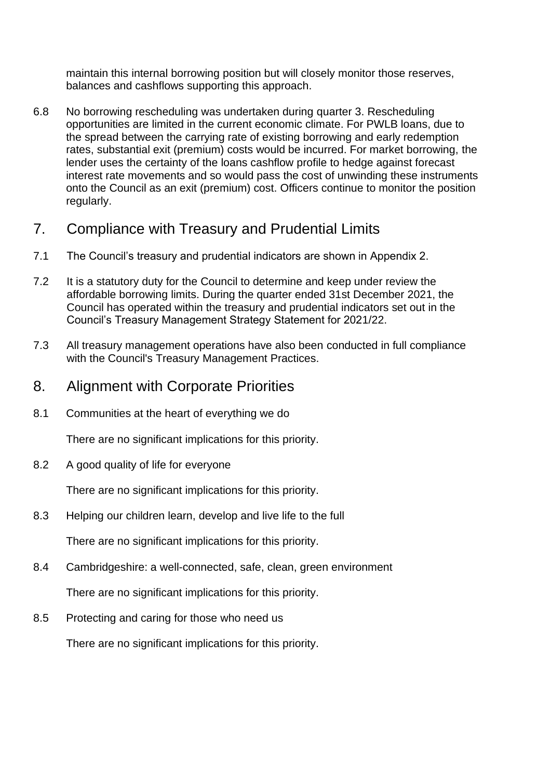maintain this internal borrowing position but will closely monitor those reserves, balances and cashflows supporting this approach.

6.8 No borrowing rescheduling was undertaken during quarter 3. Rescheduling opportunities are limited in the current economic climate. For PWLB loans, due to the spread between the carrying rate of existing borrowing and early redemption rates, substantial exit (premium) costs would be incurred. For market borrowing, the lender uses the certainty of the loans cashflow profile to hedge against forecast interest rate movements and so would pass the cost of unwinding these instruments onto the Council as an exit (premium) cost. Officers continue to monitor the position regularly.

### 7. Compliance with Treasury and Prudential Limits

- 7.1 The Council's treasury and prudential indicators are shown in Appendix 2.
- 7.2 It is a statutory duty for the Council to determine and keep under review the affordable borrowing limits. During the quarter ended 31st December 2021, the Council has operated within the treasury and prudential indicators set out in the Council's Treasury Management Strategy Statement for 2021/22.
- 7.3 All treasury management operations have also been conducted in full compliance with the Council's Treasury Management Practices.

### 8. Alignment with Corporate Priorities

8.1 Communities at the heart of everything we do

There are no significant implications for this priority.

8.2 A good quality of life for everyone

There are no significant implications for this priority.

8.3 Helping our children learn, develop and live life to the full

There are no significant implications for this priority.

8.4 Cambridgeshire: a well-connected, safe, clean, green environment

There are no significant implications for this priority.

8.5 Protecting and caring for those who need us

There are no significant implications for this priority.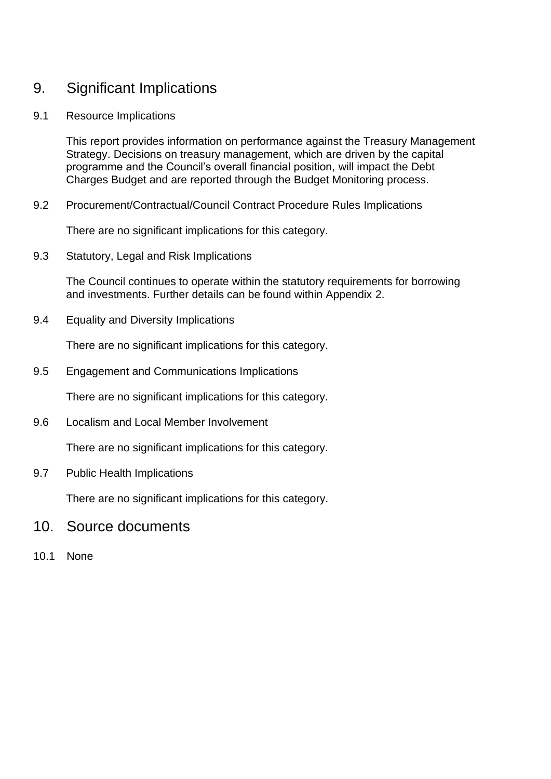### 9. Significant Implications

#### 9.1 Resource Implications

This report provides information on performance against the Treasury Management Strategy. Decisions on treasury management, which are driven by the capital programme and the Council's overall financial position, will impact the Debt Charges Budget and are reported through the Budget Monitoring process.

#### 9.2 Procurement/Contractual/Council Contract Procedure Rules Implications

There are no significant implications for this category.

9.3 Statutory, Legal and Risk Implications

The Council continues to operate within the statutory requirements for borrowing and investments. Further details can be found within Appendix 2.

9.4 Equality and Diversity Implications

There are no significant implications for this category.

9.5 Engagement and Communications Implications

There are no significant implications for this category.

9.6 Localism and Local Member Involvement

There are no significant implications for this category.

9.7 Public Health Implications

There are no significant implications for this category.

- 10. Source documents
- 10.1 None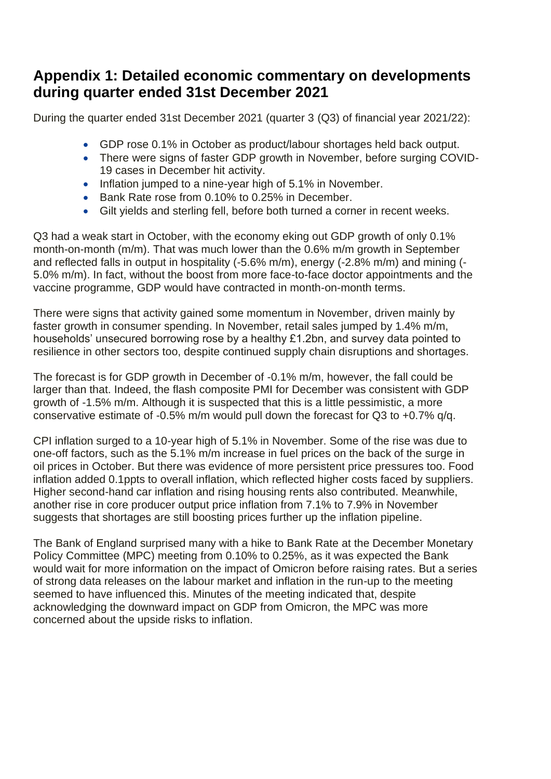## **Appendix 1: Detailed economic commentary on developments during quarter ended 31st December 2021**

During the quarter ended 31st December 2021 (quarter 3 (Q3) of financial year 2021/22):

- GDP rose 0.1% in October as product/labour shortages held back output.
- There were signs of faster GDP growth in November, before surging COVID-19 cases in December hit activity.
- Inflation jumped to a nine-year high of 5.1% in November.
- Bank Rate rose from 0.10% to 0.25% in December.
- Gilt yields and sterling fell, before both turned a corner in recent weeks.

Q3 had a weak start in October, with the economy eking out GDP growth of only 0.1% month-on-month (m/m). That was much lower than the 0.6% m/m growth in September and reflected falls in output in hospitality (-5.6% m/m), energy (-2.8% m/m) and mining (- 5.0% m/m). In fact, without the boost from more face-to-face doctor appointments and the vaccine programme, GDP would have contracted in month-on-month terms.

There were signs that activity gained some momentum in November, driven mainly by faster growth in consumer spending. In November, retail sales jumped by 1.4% m/m, households' unsecured borrowing rose by a healthy £1.2bn, and survey data pointed to resilience in other sectors too, despite continued supply chain disruptions and shortages.

The forecast is for GDP growth in December of -0.1% m/m, however, the fall could be larger than that. Indeed, the flash composite PMI for December was consistent with GDP growth of -1.5% m/m. Although it is suspected that this is a little pessimistic, a more conservative estimate of -0.5% m/m would pull down the forecast for Q3 to +0.7% q/q.

CPI inflation surged to a 10-year high of 5.1% in November. Some of the rise was due to one-off factors, such as the 5.1% m/m increase in fuel prices on the back of the surge in oil prices in October. But there was evidence of more persistent price pressures too. Food inflation added 0.1ppts to overall inflation, which reflected higher costs faced by suppliers. Higher second-hand car inflation and rising housing rents also contributed. Meanwhile, another rise in core producer output price inflation from 7.1% to 7.9% in November suggests that shortages are still boosting prices further up the inflation pipeline.

The Bank of England surprised many with a hike to Bank Rate at the December Monetary Policy Committee (MPC) meeting from 0.10% to 0.25%, as it was expected the Bank would wait for more information on the impact of Omicron before raising rates. But a series of strong data releases on the labour market and inflation in the run-up to the meeting seemed to have influenced this. Minutes of the meeting indicated that, despite acknowledging the downward impact on GDP from Omicron, the MPC was more concerned about the upside risks to inflation.